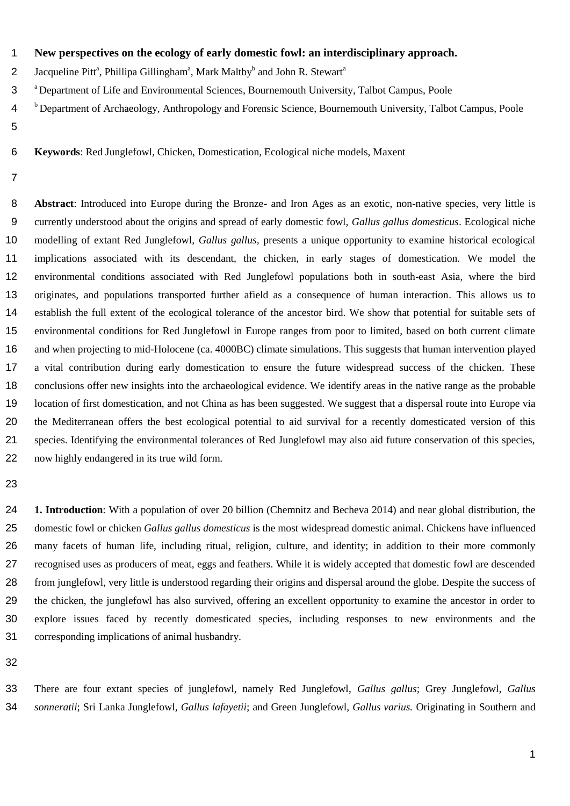- **New perspectives on the ecology of early domestic fowl: an interdisciplinary approach.**
- Jacqueline Pitt<sup>a</sup>, Phillipa Gillingham<sup>a</sup>, Mark Maltby<sup>b</sup> and John R. Stewart<sup>a</sup>
- <sup>a</sup> Department of Life and Environmental Sciences, Bournemouth University, Talbot Campus, Poole
- <sup>b</sup> Department of Archaeology, Anthropology and Forensic Science, Bournemouth University, Talbot Campus, Poole
- 

**Keywords**: Red Junglefowl*,* Chicken, Domestication, Ecological niche models, Maxent

 **Abstract**: Introduced into Europe during the Bronze- and Iron Ages as an exotic, non-native species, very little is currently understood about the origins and spread of early domestic fowl, *Gallus gallus domesticus*. Ecological niche modelling of extant Red Junglefowl, *Gallus gallus,* presents a unique opportunity to examine historical ecological implications associated with its descendant, the chicken, in early stages of domestication. We model the environmental conditions associated with Red Junglefowl populations both in south-east Asia, where the bird originates, and populations transported further afield as a consequence of human interaction. This allows us to establish the full extent of the ecological tolerance of the ancestor bird. We show that potential for suitable sets of environmental conditions for Red Junglefowl in Europe ranges from poor to limited, based on both current climate and when projecting to mid-Holocene (ca. 4000BC) climate simulations. This suggests that human intervention played a vital contribution during early domestication to ensure the future widespread success of the chicken. These conclusions offer new insights into the archaeological evidence. We identify areas in the native range as the probable location of first domestication, and not China as has been suggested. We suggest that a dispersal route into Europe via the Mediterranean offers the best ecological potential to aid survival for a recently domesticated version of this species. Identifying the environmental tolerances of Red Junglefowl may also aid future conservation of this species, now highly endangered in its true wild form.

 **1. Introduction**: With a population of over 20 billion (Chemnitz and Becheva 2014) and near global distribution, the domestic fowl or chicken *Gallus gallus domesticus* is the most widespread domestic animal. Chickens have influenced many facets of human life, including ritual, religion, culture, and identity; in addition to their more commonly recognised uses as producers of meat, eggs and feathers. While it is widely accepted that domestic fowl are descended from junglefowl, very little is understood regarding their origins and dispersal around the globe. Despite the success of the chicken, the junglefowl has also survived, offering an excellent opportunity to examine the ancestor in order to explore issues faced by recently domesticated species, including responses to new environments and the corresponding implications of animal husbandry.

 There are four extant species of junglefowl, namely Red Junglefowl, *Gallus gallus*; Grey Junglefowl, *Gallus sonneratii*; Sri Lanka Junglefowl, *Gallus lafayetii*; and Green Junglefowl, *Gallus varius.* Originating in Southern and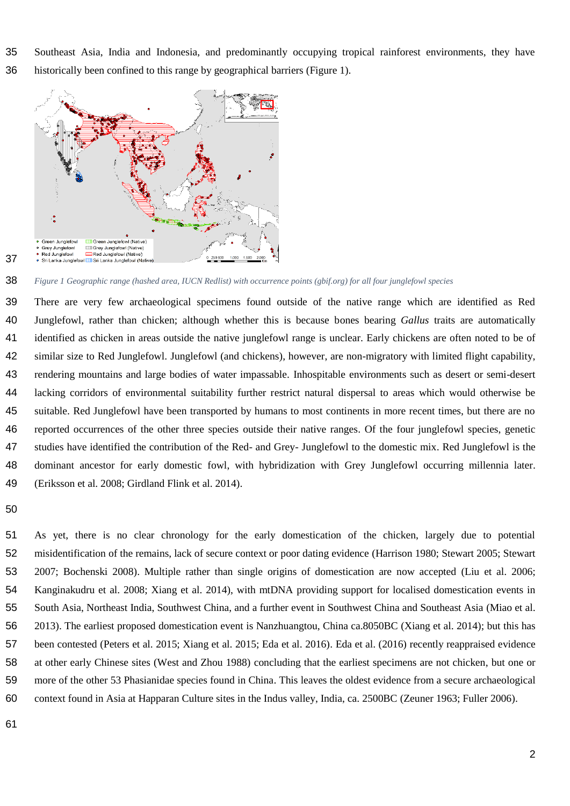Southeast Asia, India and Indonesia, and predominantly occupying tropical rainforest environments, they have historically been confined to this range by geographical barriers (Figure 1).



*Figure 1 Geographic range (hashed area, IUCN Redlist) with occurrence points (gbif.org) for all four junglefowl species*

 There are very few archaeological specimens found outside of the native range which are identified as Red Junglefowl, rather than chicken; although whether this is because bones bearing *Gallus* traits are automatically identified as chicken in areas outside the native junglefowl range is unclear. Early chickens are often noted to be of similar size to Red Junglefowl. Junglefowl (and chickens), however, are non-migratory with limited flight capability, rendering mountains and large bodies of water impassable. Inhospitable environments such as desert or semi-desert lacking corridors of environmental suitability further restrict natural dispersal to areas which would otherwise be suitable. Red Junglefowl have been transported by humans to most continents in more recent times, but there are no reported occurrences of the other three species outside their native ranges. Of the four junglefowl species, genetic studies have identified the contribution of the Red- and Grey- Junglefowl to the domestic mix. Red Junglefowl is the dominant ancestor for early domestic fowl, with hybridization with Grey Junglefowl occurring millennia later. (Eriksson et al. 2008; Girdland Flink et al. 2014).

 As yet, there is no clear chronology for the early domestication of the chicken, largely due to potential misidentification of the remains, lack of secure context or poor dating evidence (Harrison 1980; Stewart 2005; Stewart 2007; Bochenski 2008). Multiple rather than single origins of domestication are now accepted (Liu et al. 2006; Kanginakudru et al. 2008; Xiang et al. 2014), with mtDNA providing support for localised domestication events in South Asia, Northeast India, Southwest China, and a further event in Southwest China and Southeast Asia (Miao et al. 2013). The earliest proposed domestication event is Nanzhuangtou, China ca.8050BC (Xiang et al. 2014); but this has been contested (Peters et al. 2015; Xiang et al. 2015; Eda et al. 2016). Eda et al. (2016) recently reappraised evidence at other early Chinese sites (West and Zhou 1988) concluding that the earliest specimens are not chicken, but one or more of the other 53 Phasianidae species found in China. This leaves the oldest evidence from a secure archaeological context found in Asia at Happaran Culture sites in the Indus valley, India, ca. 2500BC (Zeuner 1963; Fuller 2006).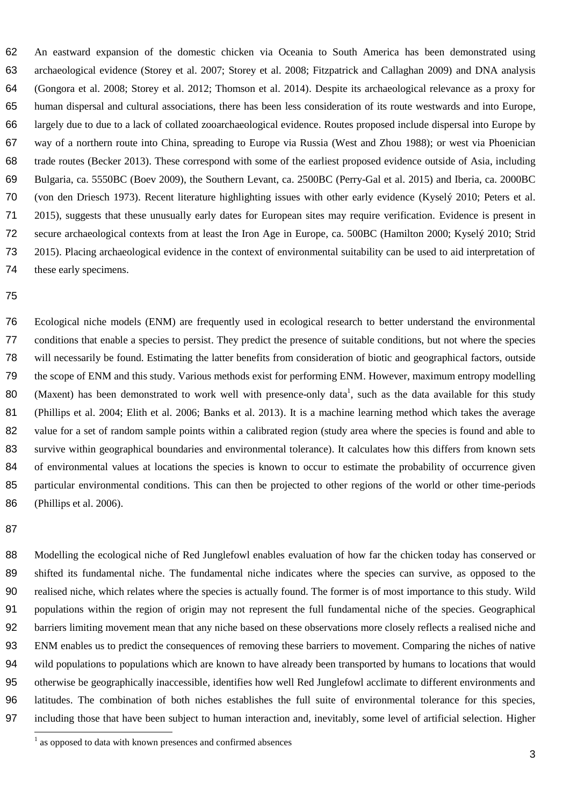An eastward expansion of the domestic chicken via Oceania to South America has been demonstrated using archaeological evidence (Storey et al. 2007; Storey et al. 2008; Fitzpatrick and Callaghan 2009) and DNA analysis (Gongora et al. 2008; Storey et al. 2012; Thomson et al. 2014). Despite its archaeological relevance as a proxy for human dispersal and cultural associations, there has been less consideration of its route westwards and into Europe, largely due to due to a lack of collated zooarchaeological evidence. Routes proposed include dispersal into Europe by way of a northern route into China, spreading to Europe via Russia (West and Zhou 1988); or west via Phoenician trade routes (Becker 2013). These correspond with some of the earliest proposed evidence outside of Asia, including Bulgaria, ca. 5550BC (Boev 2009), the Southern Levant, ca. 2500BC (Perry-Gal et al. 2015) and Iberia, ca. 2000BC (von den Driesch 1973). Recent literature highlighting issues with other early evidence (Kyselý 2010; Peters et al. 2015), suggests that these unusually early dates for European sites may require verification. Evidence is present in secure archaeological contexts from at least the Iron Age in Europe, ca. 500BC (Hamilton 2000; Kyselý 2010; Strid 2015). Placing archaeological evidence in the context of environmental suitability can be used to aid interpretation of these early specimens.

 Ecological niche models (ENM) are frequently used in ecological research to better understand the environmental conditions that enable a species to persist. They predict the presence of suitable conditions, but not where the species will necessarily be found. Estimating the latter benefits from consideration of biotic and geographical factors, outside the scope of ENM and this study. Various methods exist for performing ENM. However, maximum entropy modelling 80 (Maxent) has been demonstrated to work well with presence-only data<sup>1</sup>, such as the data available for this study (Phillips et al. 2004; Elith et al. 2006; Banks et al. 2013). It is a machine learning method which takes the average 82 value for a set of random sample points within a calibrated region (study area where the species is found and able to survive within geographical boundaries and environmental tolerance). It calculates how this differs from known sets of environmental values at locations the species is known to occur to estimate the probability of occurrence given particular environmental conditions. This can then be projected to other regions of the world or other time-periods (Phillips et al. 2006).

-

 Modelling the ecological niche of Red Junglefowl enables evaluation of how far the chicken today has conserved or shifted its fundamental niche. The fundamental niche indicates where the species can survive, as opposed to the realised niche, which relates where the species is actually found. The former is of most importance to this study. Wild populations within the region of origin may not represent the full fundamental niche of the species. Geographical barriers limiting movement mean that any niche based on these observations more closely reflects a realised niche and ENM enables us to predict the consequences of removing these barriers to movement. Comparing the niches of native wild populations to populations which are known to have already been transported by humans to locations that would otherwise be geographically inaccessible, identifies how well Red Junglefowl acclimate to different environments and latitudes. The combination of both niches establishes the full suite of environmental tolerance for this species, including those that have been subject to human interaction and, inevitably, some level of artificial selection. Higher

<sup>&</sup>lt;sup>1</sup> as opposed to data with known presences and confirmed absences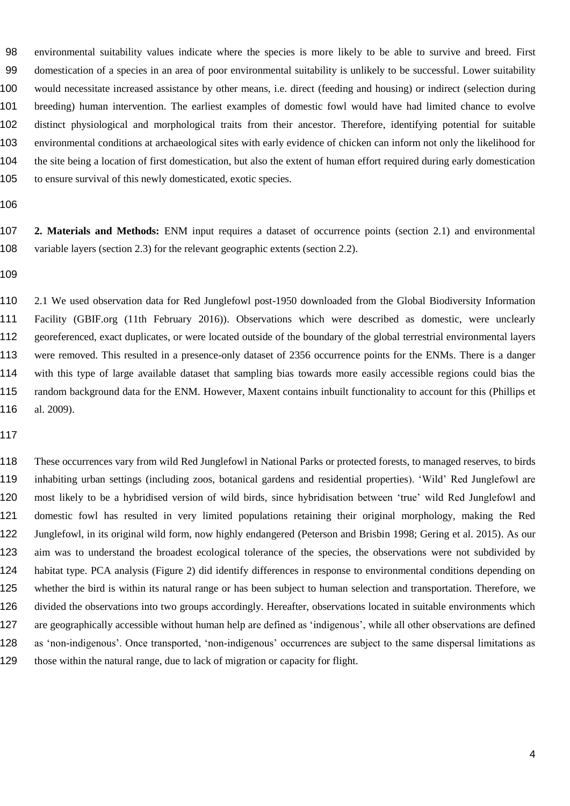environmental suitability values indicate where the species is more likely to be able to survive and breed. First domestication of a species in an area of poor environmental suitability is unlikely to be successful. Lower suitability would necessitate increased assistance by other means, i.e. direct (feeding and housing) or indirect (selection during breeding) human intervention. The earliest examples of domestic fowl would have had limited chance to evolve distinct physiological and morphological traits from their ancestor. Therefore, identifying potential for suitable environmental conditions at archaeological sites with early evidence of chicken can inform not only the likelihood for the site being a location of first domestication, but also the extent of human effort required during early domestication to ensure survival of this newly domesticated, exotic species.

 **2. Materials and Methods:** ENM input requires a dataset of occurrence points (section 2.1) and environmental variable layers (section 2.3) for the relevant geographic extents (section 2.2).

 2.1 We used observation data for Red Junglefowl post-1950 downloaded from the Global Biodiversity Information Facility (GBIF.org (11th February 2016)). Observations which were described as domestic, were unclearly georeferenced, exact duplicates, or were located outside of the boundary of the global terrestrial environmental layers 113 were removed. This resulted in a presence-only dataset of 2356 occurrence points for the ENMs. There is a danger with this type of large available dataset that sampling bias towards more easily accessible regions could bias the random background data for the ENM. However, Maxent contains inbuilt functionality to account for this (Phillips et al. 2009).

 These occurrences vary from wild Red Junglefowl in National Parks or protected forests, to managed reserves, to birds inhabiting urban settings (including zoos, botanical gardens and residential properties). 'Wild' Red Junglefowl are most likely to be a hybridised version of wild birds, since hybridisation between 'true' wild Red Junglefowl and domestic fowl has resulted in very limited populations retaining their original morphology, making the Red Junglefowl, in its original wild form, now highly endangered (Peterson and Brisbin 1998; Gering et al. 2015). As our aim was to understand the broadest ecological tolerance of the species, the observations were not subdivided by habitat type. PCA analysis (Figure 2) did identify differences in response to environmental conditions depending on whether the bird is within its natural range or has been subject to human selection and transportation. Therefore, we divided the observations into two groups accordingly. Hereafter, observations located in suitable environments which are geographically accessible without human help are defined as 'indigenous', while all other observations are defined as 'non-indigenous'. Once transported, 'non-indigenous' occurrences are subject to the same dispersal limitations as those within the natural range, due to lack of migration or capacity for flight.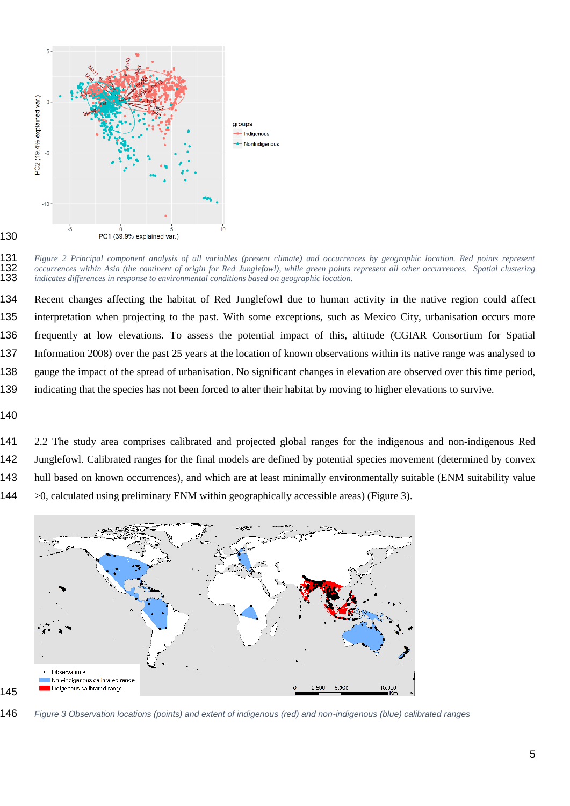

131 *Figure 2 Principal component analysis of all variables (present climate) and occurrences by geographic location. Red points represent*<br>132 *occurrences within Asia (the continent of origin for Red Junglefowl), while g occurrences within Asia (the continent of origin for Red Junglefowl), while green points represent all other occurrences. Spatial clustering indicates differences in response to environmental conditions based on geographic location.*

 Recent changes affecting the habitat of Red Junglefowl due to human activity in the native region could affect interpretation when projecting to the past. With some exceptions, such as Mexico City, urbanisation occurs more frequently at low elevations. To assess the potential impact of this, altitude (CGIAR Consortium for Spatial Information 2008) over the past 25 years at the location of known observations within its native range was analysed to gauge the impact of the spread of urbanisation. No significant changes in elevation are observed over this time period, 139 indicating that the species has not been forced to alter their habitat by moving to higher elevations to survive.

 2.2 The study area comprises calibrated and projected global ranges for the indigenous and non-indigenous Red Junglefowl. Calibrated ranges for the final models are defined by potential species movement (determined by convex 143 hull based on known occurrences), and which are at least minimally environmentally suitable (ENM suitability value 144 > 0, calculated using preliminary ENM within geographically accessible areas) (Figure 3).



*Figure 3 Observation locations (points) and extent of indigenous (red) and non-indigenous (blue) calibrated ranges*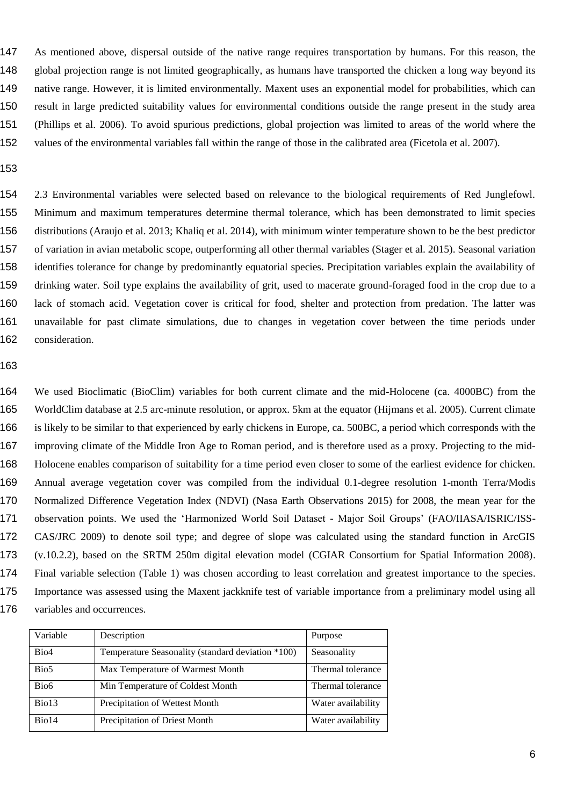As mentioned above, dispersal outside of the native range requires transportation by humans. For this reason, the global projection range is not limited geographically, as humans have transported the chicken a long way beyond its native range. However, it is limited environmentally. Maxent uses an exponential model for probabilities, which can result in large predicted suitability values for environmental conditions outside the range present in the study area (Phillips et al. 2006). To avoid spurious predictions, global projection was limited to areas of the world where the values of the environmental variables fall within the range of those in the calibrated area (Ficetola et al. 2007).

 2.3 Environmental variables were selected based on relevance to the biological requirements of Red Junglefowl. Minimum and maximum temperatures determine thermal tolerance, which has been demonstrated to limit species distributions (Araujo et al. 2013; Khaliq et al. 2014), with minimum winter temperature shown to be the best predictor of variation in avian metabolic scope, outperforming all other thermal variables (Stager et al. 2015). Seasonal variation identifies tolerance for change by predominantly equatorial species. Precipitation variables explain the availability of drinking water. Soil type explains the availability of grit, used to macerate ground-foraged food in the crop due to a lack of stomach acid. Vegetation cover is critical for food, shelter and protection from predation. The latter was unavailable for past climate simulations, due to changes in vegetation cover between the time periods under consideration.

 We used Bioclimatic (BioClim) variables for both current climate and the mid-Holocene (ca. 4000BC) from the WorldClim database at 2.5 arc-minute resolution, or approx. 5km at the equator (Hijmans et al. 2005). Current climate is likely to be similar to that experienced by early chickens in Europe, ca. 500BC, a period which corresponds with the improving climate of the Middle Iron Age to Roman period, and is therefore used as a proxy. Projecting to the mid- Holocene enables comparison of suitability for a time period even closer to some of the earliest evidence for chicken. Annual average vegetation cover was compiled from the individual 0.1-degree resolution 1-month Terra/Modis Normalized Difference Vegetation Index (NDVI) (Nasa Earth Observations 2015) for 2008, the mean year for the observation points. We used the 'Harmonized World Soil Dataset - Major Soil Groups' (FAO/IIASA/ISRIC/ISS- CAS/JRC 2009) to denote soil type; and degree of slope was calculated using the standard function in ArcGIS (v.10.2.2), based on the SRTM 250m digital elevation model (CGIAR Consortium for Spatial Information 2008). Final variable selection (Table 1) was chosen according to least correlation and greatest importance to the species. Importance was assessed using the Maxent jackknife test of variable importance from a preliminary model using all 176 variables and occurrences.

| Variable         | Description                                       | Purpose            |
|------------------|---------------------------------------------------|--------------------|
| Bio <sub>4</sub> | Temperature Seasonality (standard deviation *100) | Seasonality        |
| Bio <sub>5</sub> | Max Temperature of Warmest Month                  | Thermal tolerance  |
| Bio <sub>6</sub> | Min Temperature of Coldest Month                  | Thermal tolerance  |
| Bio13            | Precipitation of Wettest Month                    | Water availability |
| Bio14            | Precipitation of Driest Month                     | Water availability |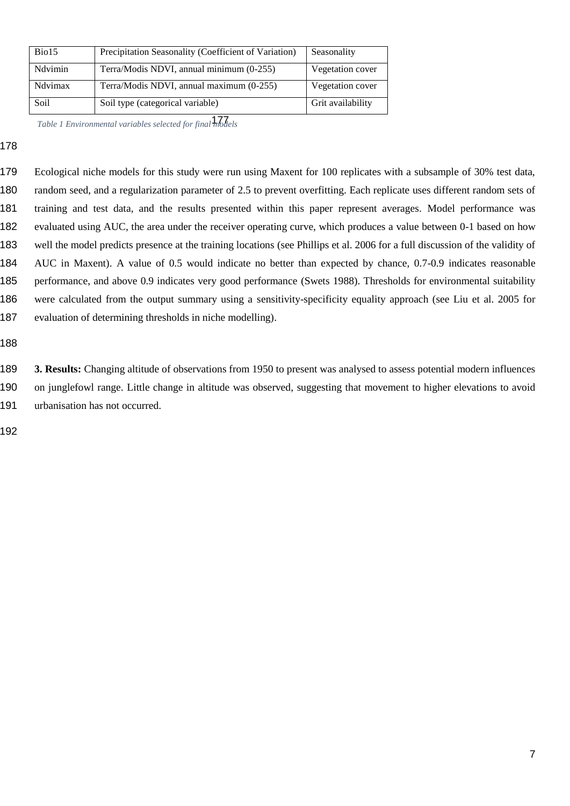| Bio15   | Precipitation Seasonality (Coefficient of Variation) | Seasonality       |
|---------|------------------------------------------------------|-------------------|
| Ndvimin | Terra/Modis NDVI, annual minimum (0-255)             | Vegetation cover  |
| Ndvimax | Terra/Modis NDVI, annual maximum (0-255)             | Vegetation cover  |
| Soil    | Soil type (categorical variable)                     | Grit availability |

177 *Table 1 Environmental variables selected for final models*

 Ecological niche models for this study were run using Maxent for 100 replicates with a subsample of 30% test data, random seed, and a regularization parameter of 2.5 to prevent overfitting. Each replicate uses different random sets of training and test data, and the results presented within this paper represent averages. Model performance was evaluated using AUC, the area under the receiver operating curve, which produces a value between 0-1 based on how well the model predicts presence at the training locations (see Phillips et al. 2006 for a full discussion of the validity of AUC in Maxent). A value of 0.5 would indicate no better than expected by chance, 0.7-0.9 indicates reasonable performance, and above 0.9 indicates very good performance (Swets 1988). Thresholds for environmental suitability were calculated from the output summary using a sensitivity-specificity equality approach (see Liu et al. 2005 for evaluation of determining thresholds in niche modelling).

 **3. Results:** Changing altitude of observations from 1950 to present was analysed to assess potential modern influences on junglefowl range. Little change in altitude was observed, suggesting that movement to higher elevations to avoid urbanisation has not occurred.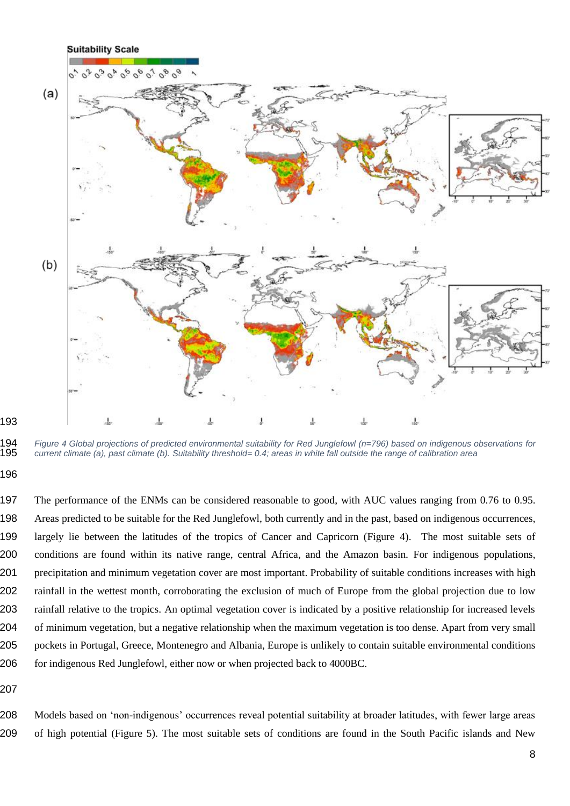

 *Figure 4 Global projections of predicted environmental suitability for Red Junglefowl (n=796) based on indigenous observations for current climate (a), past climate (b). Suitability threshold= 0.4; areas in white fall outside the range of calibration area*

 The performance of the ENMs can be considered reasonable to good, with AUC values ranging from 0.76 to 0.95. Areas predicted to be suitable for the Red Junglefowl, both currently and in the past, based on indigenous occurrences, largely lie between the latitudes of the tropics of Cancer and Capricorn (Figure 4). The most suitable sets of conditions are found within its native range, central Africa, and the Amazon basin. For indigenous populations, precipitation and minimum vegetation cover are most important. Probability of suitable conditions increases with high rainfall in the wettest month, corroborating the exclusion of much of Europe from the global projection due to low rainfall relative to the tropics. An optimal vegetation cover is indicated by a positive relationship for increased levels of minimum vegetation, but a negative relationship when the maximum vegetation is too dense. Apart from very small pockets in Portugal, Greece, Montenegro and Albania, Europe is unlikely to contain suitable environmental conditions for indigenous Red Junglefowl, either now or when projected back to 4000BC.

 Models based on 'non-indigenous' occurrences reveal potential suitability at broader latitudes, with fewer large areas of high potential (Figure 5). The most suitable sets of conditions are found in the South Pacific islands and New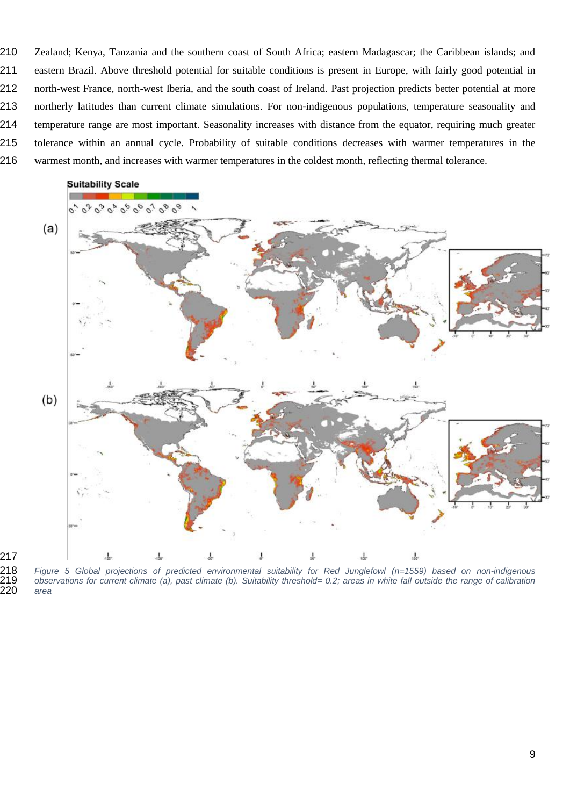Zealand; Kenya, Tanzania and the southern coast of South Africa; eastern Madagascar; the Caribbean islands; and eastern Brazil. Above threshold potential for suitable conditions is present in Europe, with fairly good potential in north-west France, north-west Iberia, and the south coast of Ireland. Past projection predicts better potential at more northerly latitudes than current climate simulations. For non-indigenous populations, temperature seasonality and temperature range are most important. Seasonality increases with distance from the equator, requiring much greater tolerance within an annual cycle. Probability of suitable conditions decreases with warmer temperatures in the warmest month, and increases with warmer temperatures in the coldest month, reflecting thermal tolerance.





 *Figure 5 Global projections of predicted environmental suitability for Red Junglefowl (n=1559) based on non-indigenous observations for current climate (a), past climate (b). Suitability threshold= 0.2; areas in white fall outside the range of calibration area*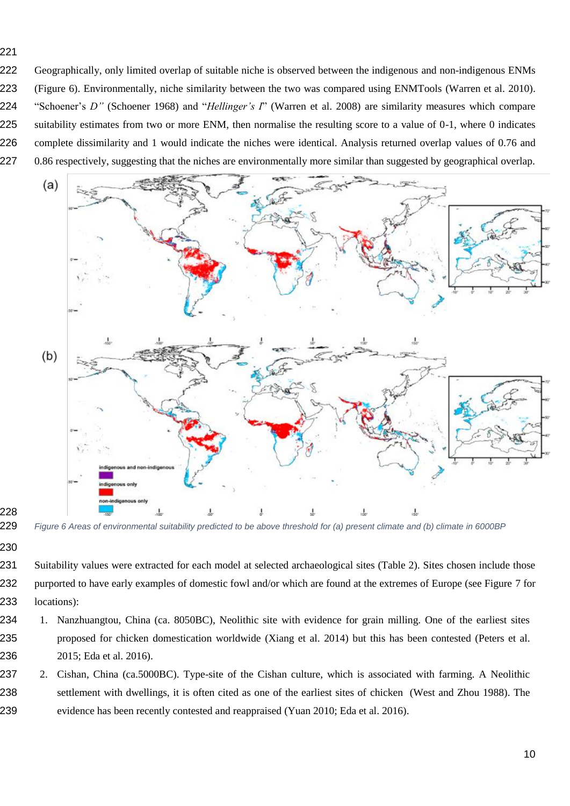Geographically, only limited overlap of suitable niche is observed between the indigenous and non-indigenous ENMs (Figure 6). Environmentally, niche similarity between the two was compared using ENMTools (Warren et al. 2010). "Schoener's *D"* (Schoener 1968) and "*Hellinger's I*" (Warren et al. 2008) are similarity measures which compare 225 suitability estimates from two or more ENM, then normalise the resulting score to a value of 0-1, where 0 indicates 226 complete dissimilarity and 1 would indicate the niches were identical. Analysis returned overlap values of 0.76 and 227 0.86 respectively, suggesting that the niches are environmentally more similar than suggested by geographical overlap.



*Figure 6 Areas of environmental suitability predicted to be above threshold for (a) present climate and (b) climate in 6000BP*

 Suitability values were extracted for each model at selected archaeological sites (Table 2). Sites chosen include those 232 purported to have early examples of domestic fowl and/or which are found at the extremes of Europe (see Figure 7 for locations):

- 1. Nanzhuangtou, China (ca. 8050BC), Neolithic site with evidence for grain milling. One of the earliest sites proposed for chicken domestication worldwide (Xiang et al. 2014) but this has been contested (Peters et al. 2015; Eda et al. 2016).
- 2. Cishan, China (ca.5000BC). Type-site of the Cishan culture, which is associated with farming. A Neolithic settlement with dwellings, it is often cited as one of the earliest sites of chicken (West and Zhou 1988). The evidence has been recently contested and reappraised (Yuan 2010; Eda et al. 2016).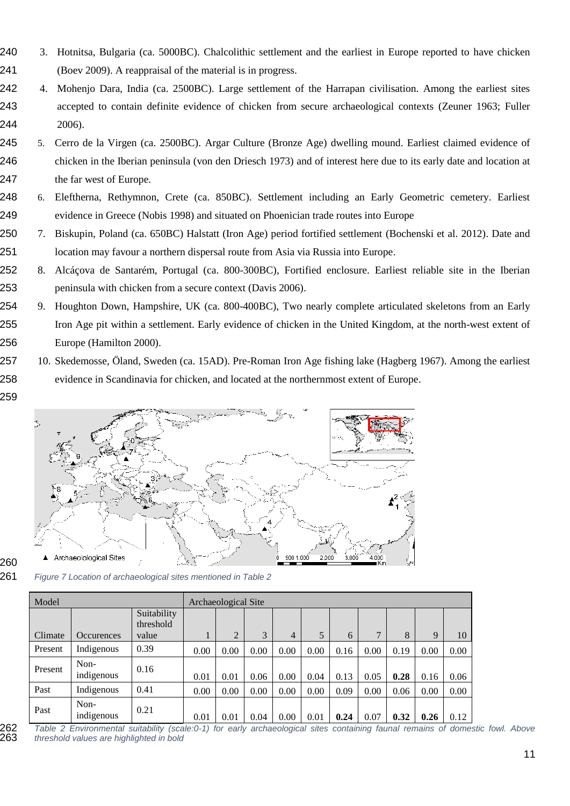- 240 3. Hotnitsa, Bulgaria (ca. 5000BC). Chalcolithic settlement and the earliest in Europe reported to have chicken 241 (Boev 2009). A reappraisal of the material is in progress.
- 242 4. Mohenjo Dara, India (ca. 2500BC). Large settlement of the Harrapan civilisation. Among the earliest sites 243 accepted to contain definite evidence of chicken from secure archaeological contexts (Zeuner 1963; Fuller 244 2006).
- 245 5. Cerro de la Virgen (ca. 2500BC). Argar Culture (Bronze Age) dwelling mound. Earliest claimed evidence of 246 chicken in the Iberian peninsula (von den Driesch 1973) and of interest here due to its early date and location at 247 the far west of Europe.
- 248 6. Eleftherna, Rethymnon, Crete (ca. 850BC). Settlement including an Early Geometric cemetery. Earliest 249 evidence in Greece (Nobis 1998) and situated on Phoenician trade routes into Europe
- 250 7. Biskupin, Poland (ca. 650BC) Halstatt (Iron Age) period fortified settlement (Bochenski et al. 2012). Date and 251 location may favour a northern dispersal route from Asia via Russia into Europe.
- 252 8. Alcáçova de Santarém, Portugal (ca. 800-300BC), Fortified enclosure. Earliest reliable site in the Iberian 253 peninsula with chicken from a secure context (Davis 2006).
- 254 9. Houghton Down, Hampshire, UK (ca. 800-400BC), Two nearly complete articulated skeletons from an Early 255 Iron Age pit within a settlement. Early evidence of chicken in the United Kingdom, at the north-west extent of 256 Europe (Hamilton 2000).
- 257 10. Skedemosse, Öland, Sweden (ca. 15AD). Pre-Roman Iron Age fishing lake (Hagberg 1967). Among the earliest 258 evidence in Scandinavia for chicken, and located at the northernmost extent of Europe.
	- The Colorador<br>The Colorador ▲ Archaeolological Sites 500 1.000 န်တက်  $4.000$ 2.000

260

259

261 *Figure 7 Location of archaeological sites mentioned in Table 2*

| Model   |                    |             | Archaeological Site |                |      |                |      |      |               |      |              |      |
|---------|--------------------|-------------|---------------------|----------------|------|----------------|------|------|---------------|------|--------------|------|
|         |                    | Suitability |                     |                |      |                |      |      |               |      |              |      |
|         |                    | threshold   |                     |                |      |                |      |      | $\mathcal{L}$ |      | $\mathbf{Q}$ |      |
| Climate | Occurences         | value       |                     | $\overline{2}$ | 3    | $\overline{4}$ | 5    | 6    |               | 8    |              | 10   |
| Present | Indigenous         | 0.39        | 0.00                | 0.00           | 0.00 | 0.00           | 0.00 | 0.16 | 0.00          | 0.19 | 0.00         | 0.00 |
| Present | Non-<br>indigenous | 0.16        | 0.01                | 0.01           | 0.06 | 0.00           | 0.04 | 0.13 | 0.05          | 0.28 | 0.16         | 0.06 |
| Past    | Indigenous         | 0.41        | 0.00                | 0.00           | 0.00 | 0.00           | 0.00 | 0.09 | 0.00          | 0.06 | 0.00         | 0.00 |
| Past    | Non-<br>indigenous | 0.21        | 0.01                | 0.01           | 0.04 | 0.00           | 0.01 | 0.24 | 0.07          | 0.32 | 0.26         | 0.12 |

262 *Table 2 Environmental suitability (scale:0-1) for early archaeological sites containing faunal remains of domestic fowl. Above*  263 *threshold values are highlighted in bold*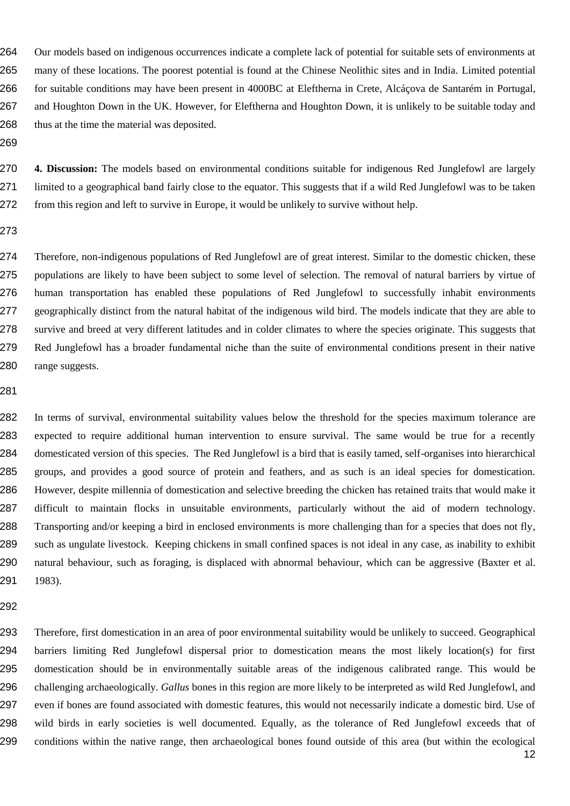Our models based on indigenous occurrences indicate a complete lack of potential for suitable sets of environments at many of these locations. The poorest potential is found at the Chinese Neolithic sites and in India. Limited potential for suitable conditions may have been present in 4000BC at Eleftherna in Crete, Alcáçova de Santarém in Portugal, and Houghton Down in the UK. However, for Eleftherna and Houghton Down, it is unlikely to be suitable today and thus at the time the material was deposited.

 **4. Discussion:** The models based on environmental conditions suitable for indigenous Red Junglefowl are largely limited to a geographical band fairly close to the equator. This suggests that if a wild Red Junglefowl was to be taken 272 from this region and left to survive in Europe, it would be unlikely to survive without help.

 Therefore, non-indigenous populations of Red Junglefowl are of great interest. Similar to the domestic chicken, these populations are likely to have been subject to some level of selection. The removal of natural barriers by virtue of human transportation has enabled these populations of Red Junglefowl to successfully inhabit environments geographically distinct from the natural habitat of the indigenous wild bird. The models indicate that they are able to 278 survive and breed at very different latitudes and in colder climates to where the species originate. This suggests that Red Junglefowl has a broader fundamental niche than the suite of environmental conditions present in their native 280 range suggests.

 In terms of survival, environmental suitability values below the threshold for the species maximum tolerance are expected to require additional human intervention to ensure survival. The same would be true for a recently domesticated version of this species. The Red Junglefowl is a bird that is easily tamed, self-organises into hierarchical groups, and provides a good source of protein and feathers, and as such is an ideal species for domestication. However, despite millennia of domestication and selective breeding the chicken has retained traits that would make it difficult to maintain flocks in unsuitable environments, particularly without the aid of modern technology. Transporting and/or keeping a bird in enclosed environments is more challenging than for a species that does not fly, such as ungulate livestock. Keeping chickens in small confined spaces is not ideal in any case, as inability to exhibit natural behaviour, such as foraging, is displaced with abnormal behaviour, which can be aggressive (Baxter et al. 1983).

 Therefore, first domestication in an area of poor environmental suitability would be unlikely to succeed. Geographical barriers limiting Red Junglefowl dispersal prior to domestication means the most likely location(s) for first domestication should be in environmentally suitable areas of the indigenous calibrated range. This would be challenging archaeologically. *Gallus* bones in this region are more likely to be interpreted as wild Red Junglefowl, and even if bones are found associated with domestic features, this would not necessarily indicate a domestic bird. Use of wild birds in early societies is well documented. Equally, as the tolerance of Red Junglefowl exceeds that of conditions within the native range, then archaeological bones found outside of this area (but within the ecological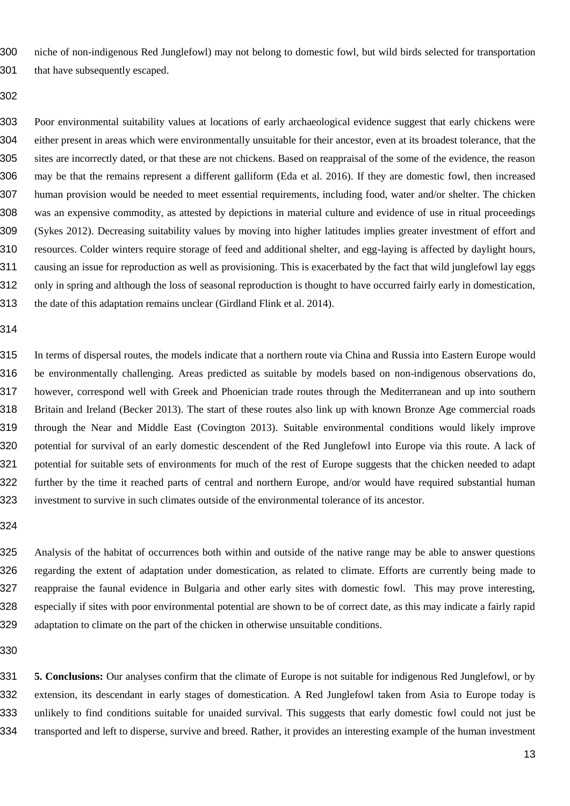niche of non-indigenous Red Junglefowl) may not belong to domestic fowl, but wild birds selected for transportation

that have subsequently escaped.

## 

 Poor environmental suitability values at locations of early archaeological evidence suggest that early chickens were either present in areas which were environmentally unsuitable for their ancestor, even at its broadest tolerance, that the sites are incorrectly dated, or that these are not chickens. Based on reappraisal of the some of the evidence, the reason may be that the remains represent a different galliform (Eda et al. 2016). If they are domestic fowl, then increased human provision would be needed to meet essential requirements, including food, water and/or shelter. The chicken was an expensive commodity, as attested by depictions in material culture and evidence of use in ritual proceedings (Sykes 2012). Decreasing suitability values by moving into higher latitudes implies greater investment of effort and resources. Colder winters require storage of feed and additional shelter, and egg-laying is affected by daylight hours, causing an issue for reproduction as well as provisioning. This is exacerbated by the fact that wild junglefowl lay eggs only in spring and although the loss of seasonal reproduction is thought to have occurred fairly early in domestication, the date of this adaptation remains unclear (Girdland Flink et al. 2014).

 In terms of dispersal routes, the models indicate that a northern route via China and Russia into Eastern Europe would be environmentally challenging. Areas predicted as suitable by models based on non-indigenous observations do, however, correspond well with Greek and Phoenician trade routes through the Mediterranean and up into southern Britain and Ireland (Becker 2013). The start of these routes also link up with known Bronze Age commercial roads through the Near and Middle East (Covington 2013). Suitable environmental conditions would likely improve potential for survival of an early domestic descendent of the Red Junglefowl into Europe via this route. A lack of potential for suitable sets of environments for much of the rest of Europe suggests that the chicken needed to adapt further by the time it reached parts of central and northern Europe, and/or would have required substantial human investment to survive in such climates outside of the environmental tolerance of its ancestor.

 Analysis of the habitat of occurrences both within and outside of the native range may be able to answer questions regarding the extent of adaptation under domestication, as related to climate. Efforts are currently being made to reappraise the faunal evidence in Bulgaria and other early sites with domestic fowl. This may prove interesting, especially if sites with poor environmental potential are shown to be of correct date, as this may indicate a fairly rapid adaptation to climate on the part of the chicken in otherwise unsuitable conditions.

 **5. Conclusions:** Our analyses confirm that the climate of Europe is not suitable for indigenous Red Junglefowl, or by extension, its descendant in early stages of domestication. A Red Junglefowl taken from Asia to Europe today is unlikely to find conditions suitable for unaided survival. This suggests that early domestic fowl could not just be transported and left to disperse, survive and breed. Rather, it provides an interesting example of the human investment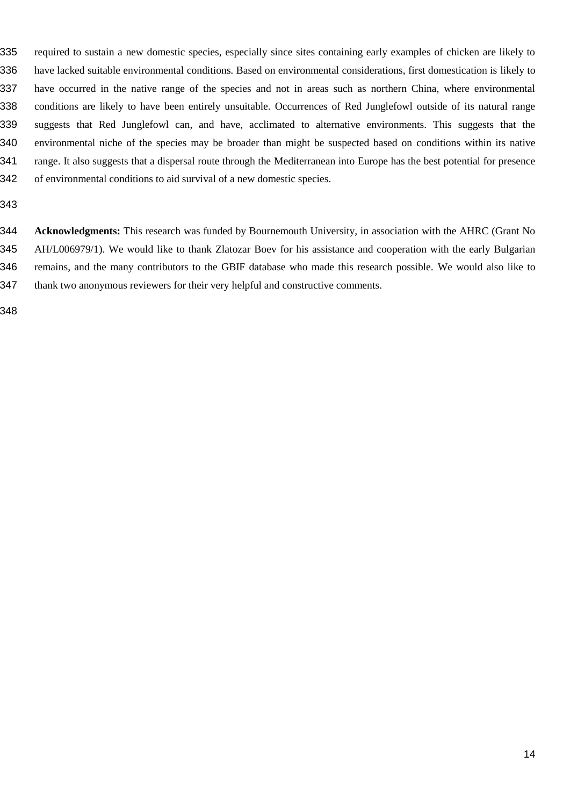required to sustain a new domestic species, especially since sites containing early examples of chicken are likely to have lacked suitable environmental conditions. Based on environmental considerations, first domestication is likely to have occurred in the native range of the species and not in areas such as northern China, where environmental conditions are likely to have been entirely unsuitable. Occurrences of Red Junglefowl outside of its natural range suggests that Red Junglefowl can, and have, acclimated to alternative environments. This suggests that the environmental niche of the species may be broader than might be suspected based on conditions within its native range. It also suggests that a dispersal route through the Mediterranean into Europe has the best potential for presence of environmental conditions to aid survival of a new domestic species.

 **Acknowledgments:** This research was funded by Bournemouth University, in association with the AHRC (Grant No AH/L006979/1). We would like to thank Zlatozar Boev for his assistance and cooperation with the early Bulgarian remains, and the many contributors to the GBIF database who made this research possible. We would also like to thank two anonymous reviewers for their very helpful and constructive comments.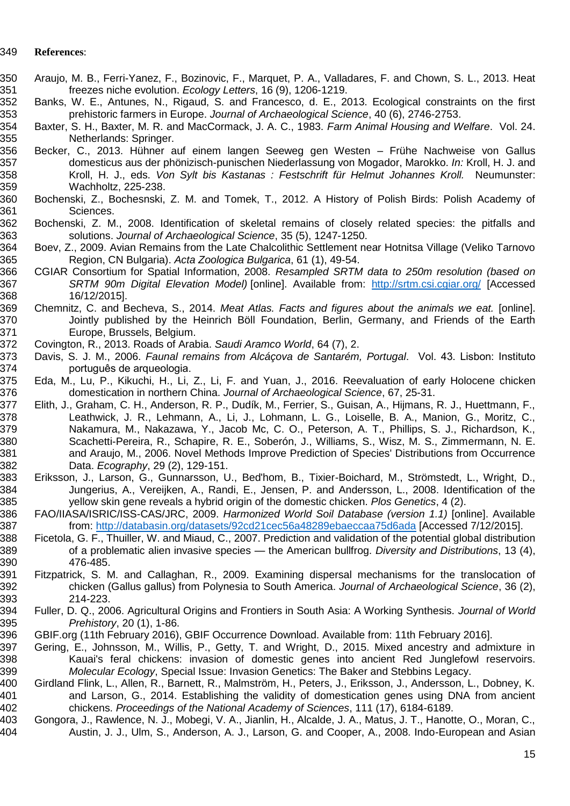- **References**:
- Araujo, M. B., Ferri-Yanez, F., Bozinovic, F., Marquet, P. A., Valladares, F. and Chown, S. L., 2013. Heat freezes niche evolution. *Ecology Letters*, 16 (9), 1206-1219.
- Banks, W. E., Antunes, N., Rigaud, S. and Francesco, d. E., 2013. Ecological constraints on the first prehistoric farmers in Europe. *Journal of Archaeological Science*, 40 (6), 2746-2753.
- Baxter, S. H., Baxter, M. R. and MacCormack, J. A. C., 1983. *Farm Animal Housing and Welfare*. Vol. 24. Netherlands: Springer.
- Becker, C., 2013. Hühner auf einem langen Seeweg gen Westen Frühe Nachweise von Gallus domesticus aus der phönizisch-punischen Niederlassung von Mogador, Marokko. *In:* Kroll, H. J. and Kroll, H. J., eds. *Von Sylt bis Kastanas : Festschrift für Helmut Johannes Kroll.* Neumunster: Wachholtz, 225-238.
- Bochenski, Z., Bochesnski, Z. M. and Tomek, T., 2012. A History of Polish Birds: Polish Academy of Sciences.
- Bochenski, Z. M., 2008. Identification of skeletal remains of closely related species: the pitfalls and solutions. *Journal of Archaeological Science*, 35 (5), 1247-1250.
- Boev, Z., 2009. Avian Remains from the Late Chalcolithic Settlement near Hotnitsa Village (Veliko Tarnovo Region, CN Bulgaria). *Acta Zoologica Bulgarica*, 61 (1), 49-54.
- CGIAR Consortium for Spatial Information, 2008. *Resampled SRTM data to 250m resolution (based on SRTM 90m Digital Elevation Model)* [online]. Available from: <http://srtm.csi.cgiar.org/> [Accessed 16/12/2015].
- Chemnitz, C. and Becheva, S., 2014. *Meat Atlas. Facts and figures about the animals we eat.* [online]. Jointly published by the Heinrich Böll Foundation, Berlin, Germany, and Friends of the Earth Europe, Brussels, Belgium.
- Covington, R., 2013. Roads of Arabia. *Saudi Aramco World*, 64 (7), 2.
- Davis, S. J. M., 2006. *Faunal remains from Alcáçova de Santarém, Portugal*. Vol. 43. Lisbon: Instituto português de arqueologia.
- Eda, M., Lu, P., Kikuchi, H., Li, Z., Li, F. and Yuan, J., 2016. Reevaluation of early Holocene chicken domestication in northern China. *Journal of Archaeological Science*, 67, 25-31.
- Elith, J., Graham, C. H., Anderson, R. P., Dudík, M., Ferrier, S., Guisan, A., Hijmans, R. J., Huettmann, F., Leathwick, J. R., Lehmann, A., Li, J., Lohmann, L. G., Loiselle, B. A., Manion, G., Moritz, C., Nakamura, M., Nakazawa, Y., Jacob Mc, C. O., Peterson, A. T., Phillips, S. J., Richardson, K., Scachetti-Pereira, R., Schapire, R. E., Soberón, J., Williams, S., Wisz, M. S., Zimmermann, N. E. and Araujo, M., 2006. Novel Methods Improve Prediction of Species' Distributions from Occurrence Data. *Ecography*, 29 (2), 129-151.
- Eriksson, J., Larson, G., Gunnarsson, U., Bed'hom, B., Tixier-Boichard, M., Strömstedt, L., Wright, D., Jungerius, A., Vereijken, A., Randi, E., Jensen, P. and Andersson, L., 2008. Identification of the yellow skin gene reveals a hybrid origin of the domestic chicken. *Plos Genetics*, 4 (2).
- FAO/IIASA/ISRIC/ISS-CAS/JRC, 2009. *Harmonized World Soil Database (version 1.1)* [online]. Available from:<http://databasin.org/datasets/92cd21cec56a48289ebaeccaa75d6ada> [Accessed 7/12/2015].
- Ficetola, G. F., Thuiller, W. and Miaud, C., 2007. Prediction and validation of the potential global distribution of a problematic alien invasive species — the American bullfrog. *Diversity and Distributions*, 13 (4), 476-485.
- Fitzpatrick, S. M. and Callaghan, R., 2009. Examining dispersal mechanisms for the translocation of chicken (Gallus gallus) from Polynesia to South America. *Journal of Archaeological Science*, 36 (2), 214-223.
- Fuller, D. Q., 2006. Agricultural Origins and Frontiers in South Asia: A Working Synthesis. *Journal of World Prehistory*, 20 (1), 1-86.
- GBIF.org (11th February 2016), GBIF Occurrence Download. Available from: 11th February 2016].
- Gering, E., Johnsson, M., Willis, P., Getty, T. and Wright, D., 2015. Mixed ancestry and admixture in Kauai's feral chickens: invasion of domestic genes into ancient Red Junglefowl reservoirs. *Molecular Ecology*, Special Issue: Invasion Genetics: The Baker and Stebbins Legacy.
- Girdland Flink, L., Allen, R., Barnett, R., Malmström, H., Peters, J., Eriksson, J., Andersson, L., Dobney, K. and Larson, G., 2014. Establishing the validity of domestication genes using DNA from ancient chickens. *Proceedings of the National Academy of Sciences*, 111 (17), 6184-6189.
- Gongora, J., Rawlence, N. J., Mobegi, V. A., Jianlin, H., Alcalde, J. A., Matus, J. T., Hanotte, O., Moran, C., Austin, J. J., Ulm, S., Anderson, A. J., Larson, G. and Cooper, A., 2008. Indo-European and Asian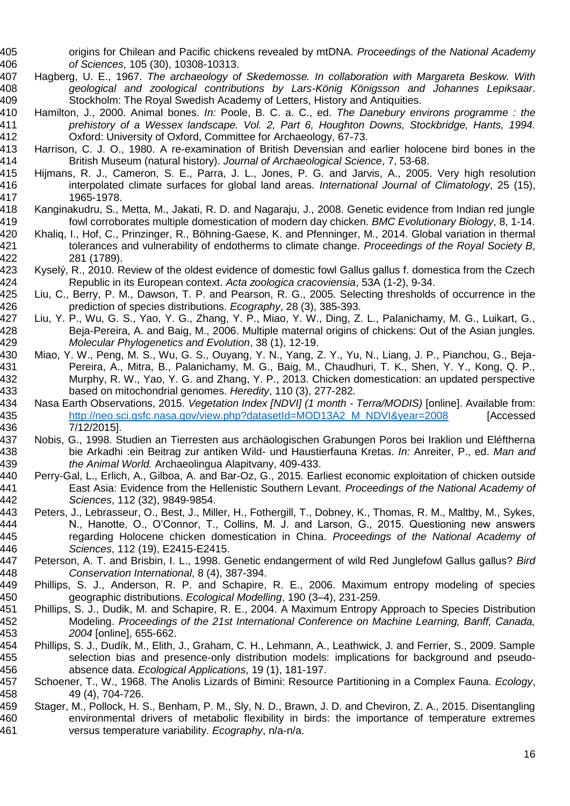- origins for Chilean and Pacific chickens revealed by mtDNA. *Proceedings of the National Academy of Sciences*, 105 (30), 10308-10313.
- Hagberg, U. E., 1967. *The archaeology of Skedemosse. In collaboration with Margareta Beskow. With geological and zoological contributions by Lars-König Königsson and Johannes Lepiksaar*. Stockholm: The Royal Swedish Academy of Letters, History and Antiquities.
- Hamilton, J., 2000. Animal bones. *In:* Poole, B. C. a. C., ed. *The Danebury environs programme : the prehistory of a Wessex landscape. Vol. 2, Part 6, Houghton Downs, Stockbridge, Hants, 1994.*  Oxford: University of Oxford, Committee for Archaeology, 67-73.
- Harrison, C. J. O., 1980. A re-examination of British Devensian and earlier holocene bird bones in the British Museum (natural history). *Journal of Archaeological Science*, 7, 53-68.
- Hijmans, R. J., Cameron, S. E., Parra, J. L., Jones, P. G. and Jarvis, A., 2005. Very high resolution interpolated climate surfaces for global land areas. *International Journal of Climatology*, 25 (15), 1965-1978.
- Kanginakudru, S., Metta, M., Jakati, R. D. and Nagaraju, J., 2008. Genetic evidence from Indian red jungle fowl corroborates multiple domestication of modern day chicken. *BMC Evolutionary Biology*, 8, 1-14.
- Khaliq, I., Hof, C., Prinzinger, R., Böhning-Gaese, K. and Pfenninger, M., 2014. Global variation in thermal tolerances and vulnerability of endotherms to climate change. *Proceedings of the Royal Society B*, 281 (1789).
- Kyselý, R., 2010. Review of the oldest evidence of domestic fowl Gallus gallus f. domestica from the Czech Republic in its European context. *Acta zoologica cracoviensia*, 53A (1-2), 9-34.
- Liu, C., Berry, P. M., Dawson, T. P. and Pearson, R. G., 2005. Selecting thresholds of occurrence in the prediction of species distributions. *Ecography*, 28 (3), 385-393.
- Liu, Y. P., Wu, G. S., Yao, Y. G., Zhang, Y. P., Miao, Y. W., Ding, Z. L., Palanichamy, M. G., Luikart, G., Beja-Pereira, A. and Baig, M., 2006. Multiple maternal origins of chickens: Out of the Asian jungles. *Molecular Phylogenetics and Evolution*, 38 (1), 12-19.
- Miao, Y. W., Peng, M. S., Wu, G. S., Ouyang, Y. N., Yang, Z. Y., Yu, N., Liang, J. P., Pianchou, G., Beja- Pereira, A., Mitra, B., Palanichamy, M. G., Baig, M., Chaudhuri, T. K., Shen, Y. Y., Kong, Q. P., Murphy, R. W., Yao, Y. G. and Zhang, Y. P., 2013. Chicken domestication: an updated perspective based on mitochondrial genomes. *Heredity*, 110 (3), 277-282.
- Nasa Earth Observations, 2015. *Vegetation Index [NDVI] (1 month - Terra/MODIS)* [online]. Available from: [http://neo.sci.gsfc.nasa.gov/view.php?datasetId=MOD13A2\\_M\\_NDVI&year=2008](http://neo.sci.gsfc.nasa.gov/view.php?datasetId=MOD13A2_M_NDVI&year=2008) [Accessed 7/12/2015].
- Nobis, G., 1998. Studien an Tierresten aus archäologischen Grabungen Poros bei Iraklion und Eléftherna bie Arkadhi :ein Beitrag zur antiken Wild- und Haustierfauna Kretas. *In:* Anreiter, P., ed. *Man and the Animal World.* Archaeolingua Alapitvany, 409-433.
- Perry-Gal, L., Erlich, A., Gilboa, A. and Bar-Oz, G., 2015. Earliest economic exploitation of chicken outside East Asia: Evidence from the Hellenistic Southern Levant. *Proceedings of the National Academy of Sciences*, 112 (32), 9849-9854.
- Peters, J., Lebrasseur, O., Best, J., Miller, H., Fothergill, T., Dobney, K., Thomas, R. M., Maltby, M., Sykes, N., Hanotte, O., O'Connor, T., Collins, M. J. and Larson, G., 2015. Questioning new answers regarding Holocene chicken domestication in China. *Proceedings of the National Academy of Sciences*, 112 (19), E2415-E2415.
- Peterson, A. T. and Brisbin, I. L., 1998. Genetic endangerment of wild Red Junglefowl Gallus gallus? *Bird Conservation International*, 8 (4), 387-394.
- Phillips, S. J., Anderson, R. P. and Schapire, R. E., 2006. Maximum entropy modeling of species geographic distributions. *Ecological Modelling*, 190 (3–4), 231-259.
- Phillips, S. J., Dudik, M. and Schapire, R. E., 2004. A Maximum Entropy Approach to Species Distribution Modeling. *Proceedings of the 21st International Conference on Machine Learning, Banff, Canada, 2004* [online], 655-662.
- Phillips, S. J., Dudík, M., Elith, J., Graham, C. H., Lehmann, A., Leathwick, J. and Ferrier, S., 2009. Sample selection bias and presence-only distribution models: implications for background and pseudo-absence data. *Ecological Applications*, 19 (1), 181-197.
- Schoener, T., W., 1968. The Anolis Lizards of Bimini: Resource Partitioning in a Complex Fauna. *Ecology*, 49 (4), 704-726.
- Stager, M., Pollock, H. S., Benham, P. M., Sly, N. D., Brawn, J. D. and Cheviron, Z. A., 2015. Disentangling environmental drivers of metabolic flexibility in birds: the importance of temperature extremes versus temperature variability. *Ecography*, n/a-n/a.